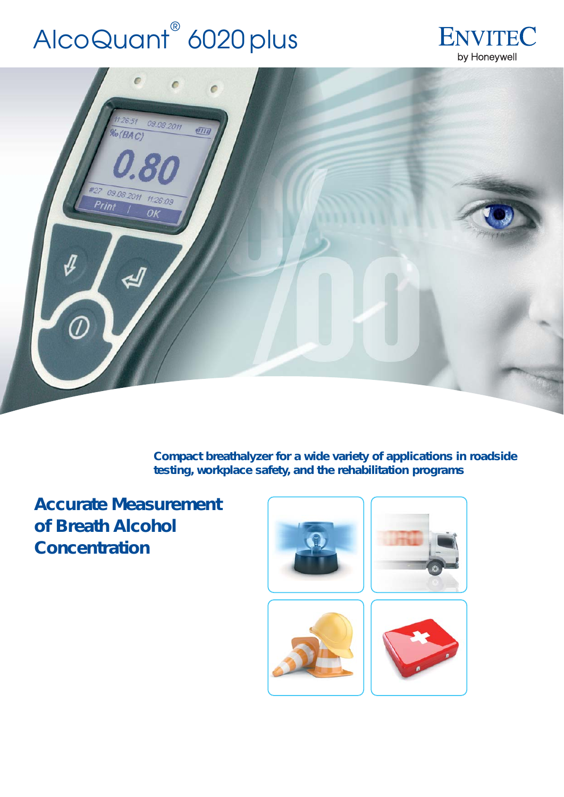# AlcoQuant<sup>®</sup> 6020 plus





**Compact breathalyzer for a wide variety of applications in roadside testing, workplace safety, and the rehabilitation programs**

**Accurate Measurement of Breath Alcohol Concentration**



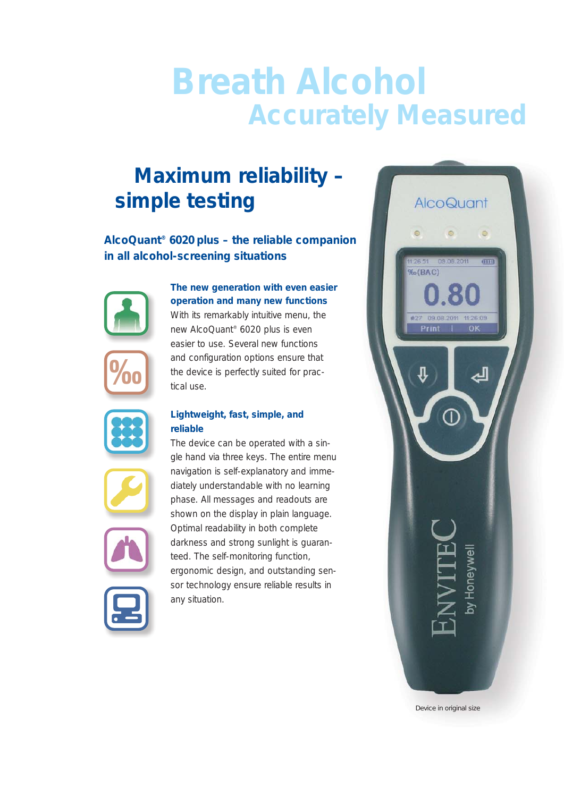## **Accurately Measured Breath Alcohol**

## **Maximum reliability – simple testing**

### **AlcoQuant® 6020 plus – the reliable companion in all alcohol-screening situations**











### **The new generation with even easier operation and many new functions**

With its remarkably intuitive menu, the new AlcoQuant® 6020 plus is even easier to use. Several new functions and configuration options ensure that the device is perfectly suited for practical use.

### **Lightweight, fast, simple, and reliable**

The device can be operated with a single hand via three keys. The entire menu navigation is self-explanatory and immediately understandable with no learning phase. All messages and readouts are shown on the display in plain language. Optimal readability in both complete darkness and strong sunlight is guaranteed. The self-monitoring function, ergonomic design, and outstanding sensor technology ensure reliable results in any situation.

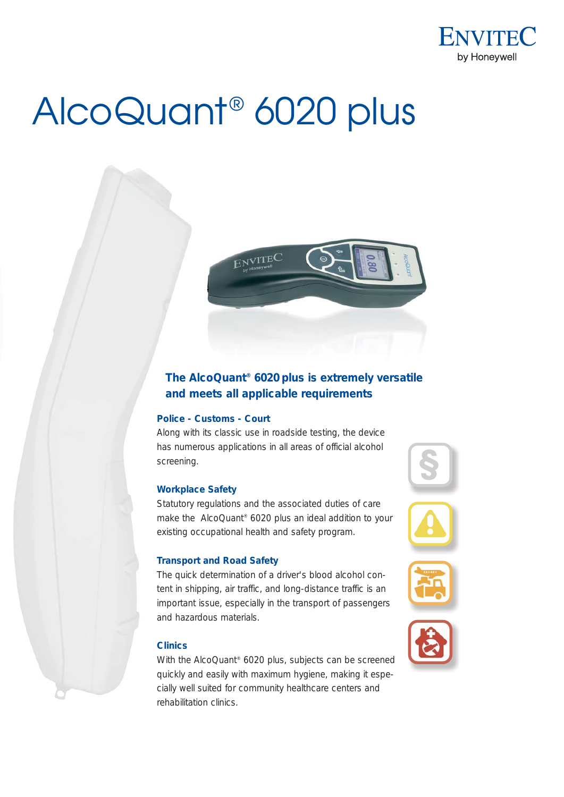

# AlcoQuant® 6020 plus



### **The AlcoQuant® 6020 plus is extremely versatile and meets all applicable requirements**

### **Police - Customs - Court**

Along with its classic use in roadside testing, the device has numerous applications in all areas of official alcohol screening.

### **Workplace Safety**

Statutory regulations and the associated duties of care make the AlcoQuant® 6020 plus an ideal addition to your existing occupational health and safety program.

### **Transport and Road Safety**

The quick determination of a driver's blood alcohol content in shipping, air traffic, and long-distance traffic is an important issue, especially in the transport of passengers and hazardous materials.

### **Clinics**

With the AlcoQuant® 6020 plus, subjects can be screened quickly and easily with maximum hygiene, making it especially well suited for community healthcare centers and rehabilitation clinics.





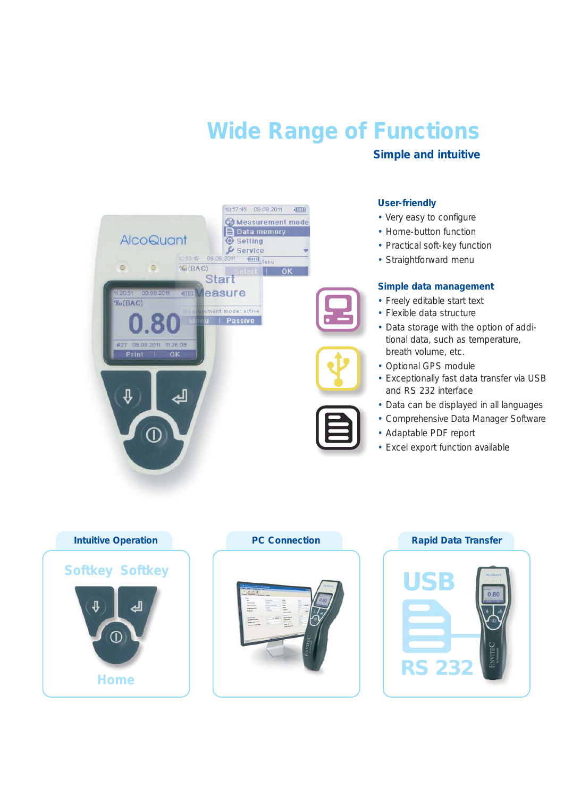## **Wide Range of Functions**



## **User-friendly**

• Very easy to configure

**Simple and intuitive** 

- Home-button function
- Practical soft-key function
- Straightforward menu

### **Simple data management**

- Freely editable start text
- Flexible data structure
- Data storage with the option of additional data, such as temperature, breath volume, etc.
- Optional GPS module
- Exceptionally fast data transfer via USB and RS 232 interface
- Data can be displayed in all languages
- Comprehensive Data Manager Software
- Adaptable PDF report
- Excel export function available





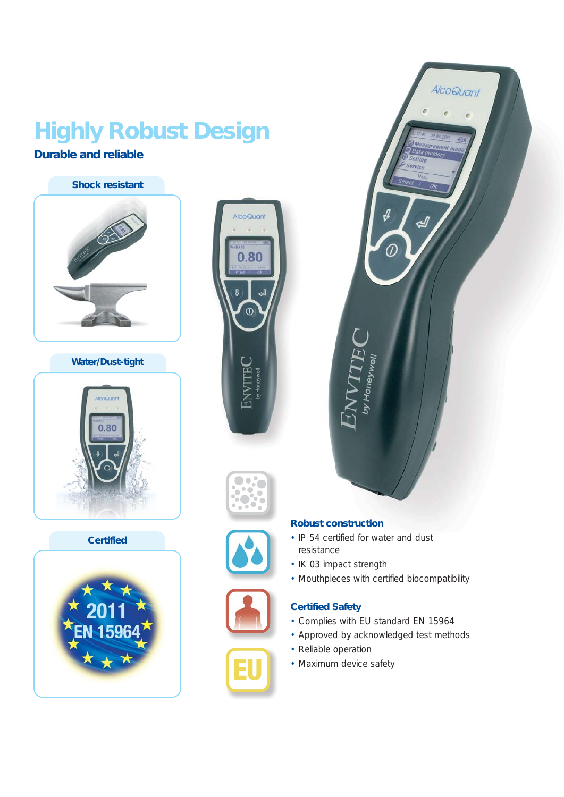## **Highly Robust Design**

**Durable and reliable**



### **Water/Dust-tight**



**Certified**













### **Robust construction**

- IP 54 certified for water and dust resistance
- IK 03 impact strength
- Mouthpieces with certified biocompatibility

 $^\mathcal{O}$ 

AlcoQuant

### **Certified Safety**

- Complies with EU standard EN 15964
- Approved by acknowledged test methods
- Reliable operation
- Maximum device safety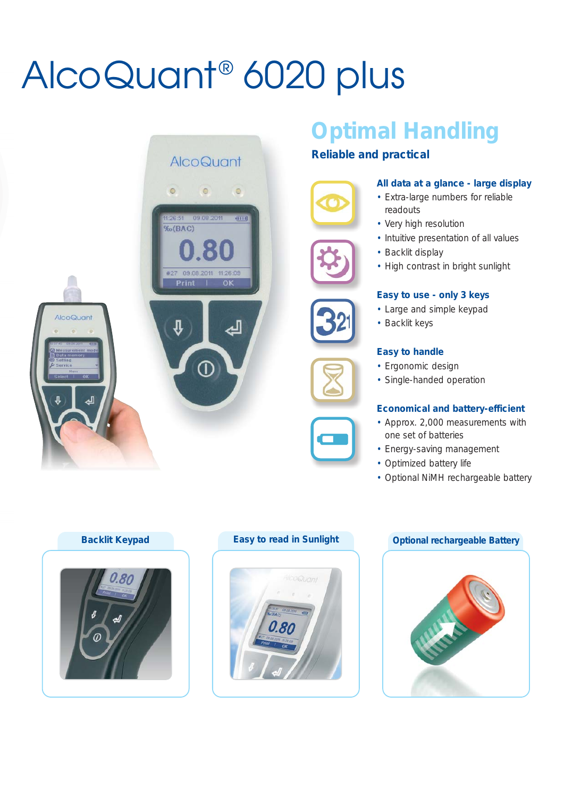# AlcoQuant® 6020 plus



## **Optimal Handling**

### **Reliable and practical**













### **All data at a glance - large display**

- Extra-large numbers for reliable readouts
- Very high resolution
- Intuitive presentation of all values
- Backlit display
- High contrast in bright sunlight

### **Easy to use - only 3 keys**

- Large and simple keypad
- Backlit keys

### **Easy to handle**

- Ergonomic design
- Single-handed operation

### **Economical and battery-efficient**

- Approx. 2,000 measurements with one set of batteries
- Energy-saving management
- Optimized battery life
- Optional NiMH rechargeable battery





### **Backlit Keypad Easy to read in Sunlight Optional rechargeable Battery**